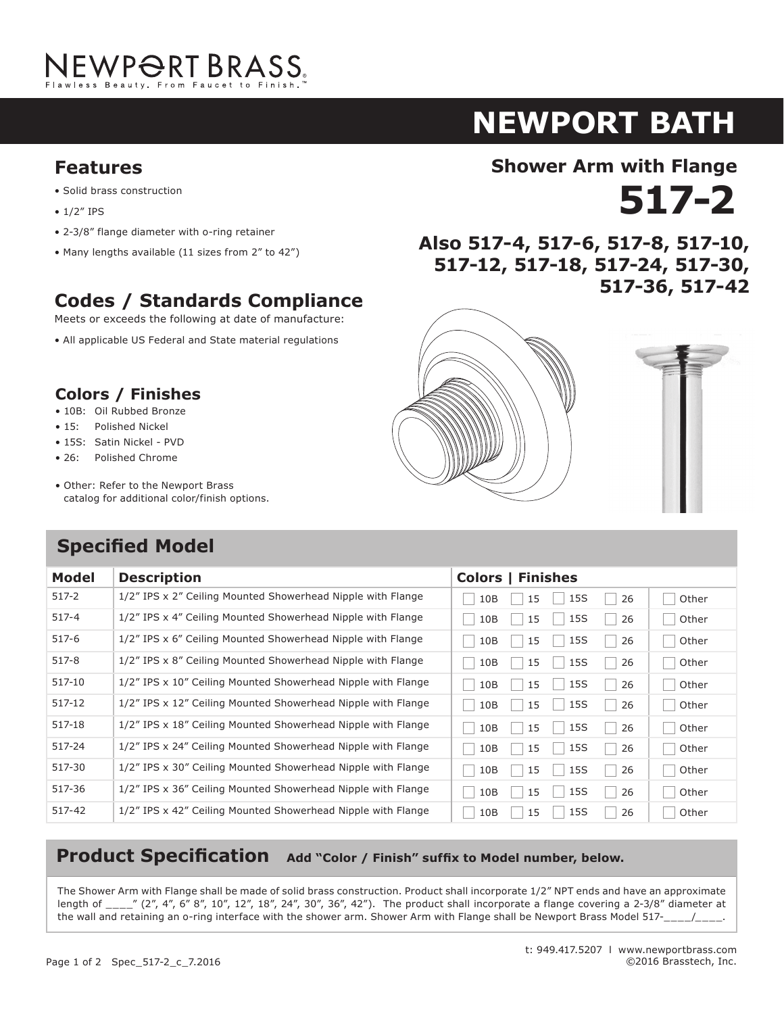

### **NEWPORT BATH NEWPORT B Shower Arm with Flange**

#### **Features Shower Arm with Flange 516-2 Features**  $\mathbf{S}$  brass construction brass construction brass construction brass construction brass construction brass construction brass construction brass construction brass construction brass construction brass construction bra

- Solid brass construction
- 1/2" IPS
- 2-3/8" flange diameter with o-ring retainer 2-3/8" flange diameter with o-ring retainer
- Many lengths available (11 sizes from 2" to 42") Many lengths available (11 sizes from 2" to 42")

# **Codes / Standards Compliance**

Meets or exceeds the following at date of manufacture:

• All applicable US Federal and State material regulations **Codes / Standards Compliance**

### **Colors / Finishes**

- 10B: Oil Rubbed Bronze
- 15: Polished Nickel
- 15S: Satin Nickel PVD **Colors / Finishes**
	- Polished Chrome  $•76:$
	- Other: Refer to the Newport Brass catalog for additional color/finish options.  $\bullet$  Ou

### **Specified Model**



**Also 517-2** 

**516-12, 516-18, 516-24, 516-30,** 



#### **Product Specification** Add "Color / Finish" suffix to Model number, below.

516-36 3/4" IPS x 36" Ceiling Mounted Showerhead Nipple with Flange PN SN PC ORB Other

wall and retaining an o-ring interface with the shower Arm with Flange shall be Newport Brass Model 516-216-216-

The Shower Arm with Flange shall be made of solid brass construction. Product shall incorporate 1/2" NPT ends and have an approximate length of  $\mu$  (2", 4", 6" 8", 10", 12", 18", 24", 30", 36", 42"). The product shall incorporate a flange covering a 2-3/8" diameter at the wall and retaining an o-ring interface with the shower arm. Shower Arm with Flange shall be Newport Brass Model 517-\_\_\_\_/\_\_\_\_